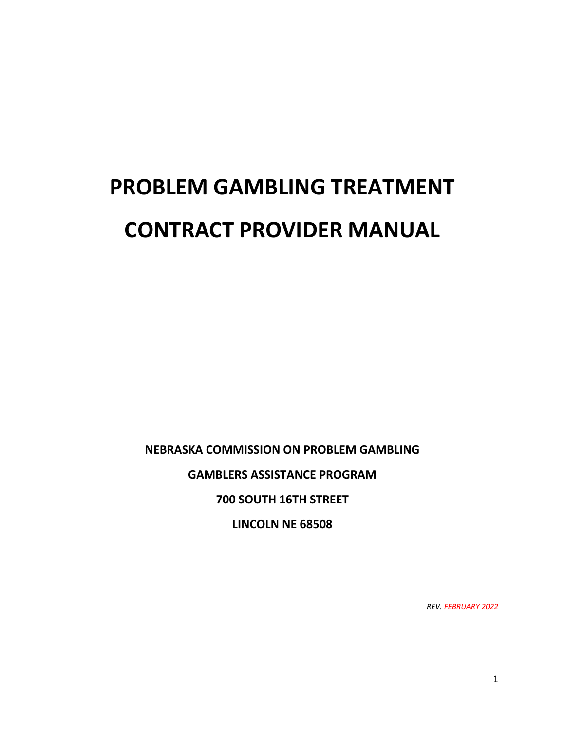# **PROBLEM GAMBLING TREATMENT CONTRACT PROVIDER MANUAL**

**NEBRASKA COMMISSION ON PROBLEM GAMBLING**

**GAMBLERS ASSISTANCE PROGRAM**

**700 SOUTH 16TH STREET**

**LINCOLN NE 68508**

*REV. FEBRUARY 2022*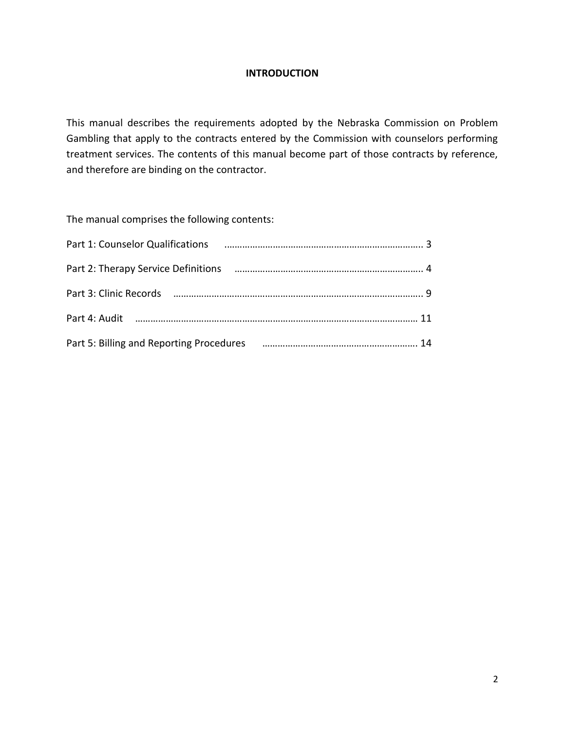## **INTRODUCTION**

This manual describes the requirements adopted by the Nebraska Commission on Problem Gambling that apply to the contracts entered by the Commission with counselors performing treatment services. The contents of this manual become part of those contracts by reference, and therefore are binding on the contractor.

The manual comprises the following contents:

| Part 3: Clinic Records (1990) (1990) (1990) (1991) (1991) (1991) (1991) (1991) (1991) (1991) (1991) (1991) (19 |  |
|----------------------------------------------------------------------------------------------------------------|--|
|                                                                                                                |  |
| Part 5: Billing and Reporting Procedures                                                                       |  |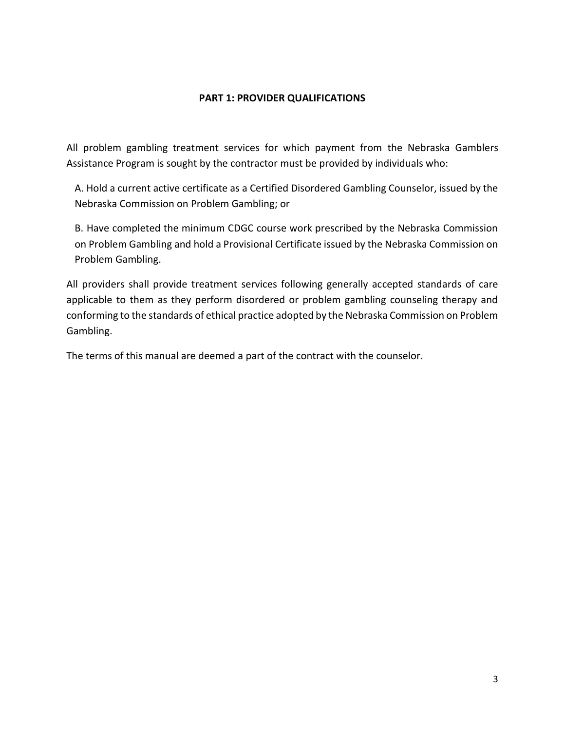#### **PART 1: PROVIDER QUALIFICATIONS**

All problem gambling treatment services for which payment from the Nebraska Gamblers Assistance Program is sought by the contractor must be provided by individuals who:

A. Hold a current active certificate as a Certified Disordered Gambling Counselor, issued by the Nebraska Commission on Problem Gambling; or

B. Have completed the minimum CDGC course work prescribed by the Nebraska Commission on Problem Gambling and hold a Provisional Certificate issued by the Nebraska Commission on Problem Gambling.

All providers shall provide treatment services following generally accepted standards of care applicable to them as they perform disordered or problem gambling counseling therapy and conforming to the standards of ethical practice adopted by the Nebraska Commission on Problem Gambling.

The terms of this manual are deemed a part of the contract with the counselor.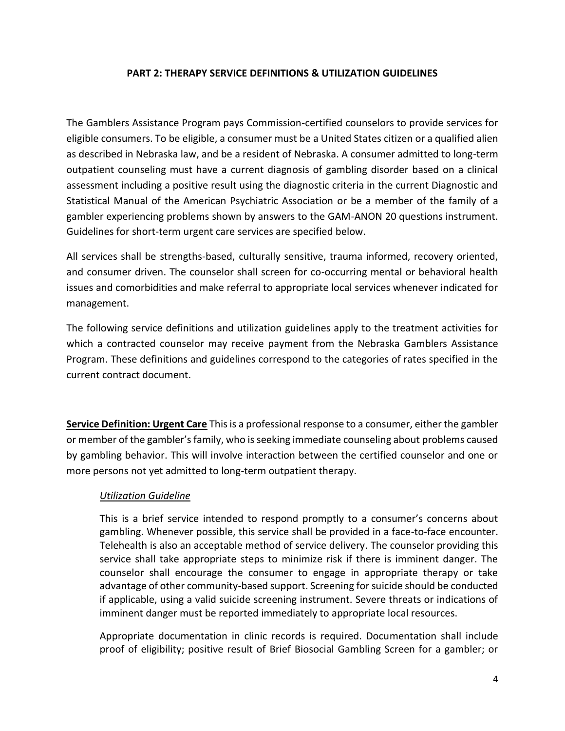## **PART 2: THERAPY SERVICE DEFINITIONS & UTILIZATION GUIDELINES**

The Gamblers Assistance Program pays Commission-certified counselors to provide services for eligible consumers. To be eligible, a consumer must be a United States citizen or a qualified alien as described in Nebraska law, and be a resident of Nebraska. A consumer admitted to long-term outpatient counseling must have a current diagnosis of gambling disorder based on a clinical assessment including a positive result using the diagnostic criteria in the current Diagnostic and Statistical Manual of the American Psychiatric Association or be a member of the family of a gambler experiencing problems shown by answers to the GAM-ANON 20 questions instrument. Guidelines for short-term urgent care services are specified below.

All services shall be strengths-based, culturally sensitive, trauma informed, recovery oriented, and consumer driven. The counselor shall screen for co-occurring mental or behavioral health issues and comorbidities and make referral to appropriate local services whenever indicated for management.

The following service definitions and utilization guidelines apply to the treatment activities for which a contracted counselor may receive payment from the Nebraska Gamblers Assistance Program. These definitions and guidelines correspond to the categories of rates specified in the current contract document.

**Service Definition: Urgent Care** This is a professional response to a consumer, either the gambler or member of the gambler's family, who is seeking immediate counseling about problems caused by gambling behavior. This will involve interaction between the certified counselor and one or more persons not yet admitted to long-term outpatient therapy.

## *Utilization Guideline*

This is a brief service intended to respond promptly to a consumer's concerns about gambling. Whenever possible, this service shall be provided in a face-to-face encounter. Telehealth is also an acceptable method of service delivery. The counselor providing this service shall take appropriate steps to minimize risk if there is imminent danger. The counselor shall encourage the consumer to engage in appropriate therapy or take advantage of other community-based support. Screening for suicide should be conducted if applicable, using a valid suicide screening instrument. Severe threats or indications of imminent danger must be reported immediately to appropriate local resources.

Appropriate documentation in clinic records is required. Documentation shall include proof of eligibility; positive result of Brief Biosocial Gambling Screen for a gambler; or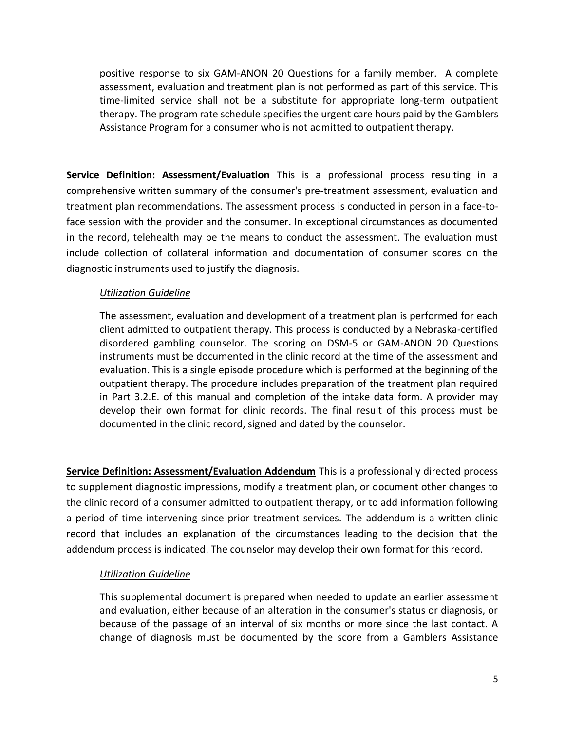positive response to six GAM-ANON 20 Questions for a family member. A complete assessment, evaluation and treatment plan is not performed as part of this service. This time-limited service shall not be a substitute for appropriate long-term outpatient therapy. The program rate schedule specifies the urgent care hours paid by the Gamblers Assistance Program for a consumer who is not admitted to outpatient therapy.

**Service Definition: Assessment/Evaluation** This is a professional process resulting in a comprehensive written summary of the consumer's pre-treatment assessment, evaluation and treatment plan recommendations. The assessment process is conducted in person in a face-toface session with the provider and the consumer. In exceptional circumstances as documented in the record, telehealth may be the means to conduct the assessment. The evaluation must include collection of collateral information and documentation of consumer scores on the diagnostic instruments used to justify the diagnosis.

## *Utilization Guideline*

The assessment, evaluation and development of a treatment plan is performed for each client admitted to outpatient therapy. This process is conducted by a Nebraska-certified disordered gambling counselor. The scoring on DSM-5 or GAM-ANON 20 Questions instruments must be documented in the clinic record at the time of the assessment and evaluation. This is a single episode procedure which is performed at the beginning of the outpatient therapy. The procedure includes preparation of the treatment plan required in Part 3.2.E. of this manual and completion of the intake data form. A provider may develop their own format for clinic records. The final result of this process must be documented in the clinic record, signed and dated by the counselor.

**Service Definition: Assessment/Evaluation Addendum** This is a professionally directed process to supplement diagnostic impressions, modify a treatment plan, or document other changes to the clinic record of a consumer admitted to outpatient therapy, or to add information following a period of time intervening since prior treatment services. The addendum is a written clinic record that includes an explanation of the circumstances leading to the decision that the addendum process is indicated. The counselor may develop their own format for this record.

## *Utilization Guideline*

This supplemental document is prepared when needed to update an earlier assessment and evaluation, either because of an alteration in the consumer's status or diagnosis, or because of the passage of an interval of six months or more since the last contact. A change of diagnosis must be documented by the score from a Gamblers Assistance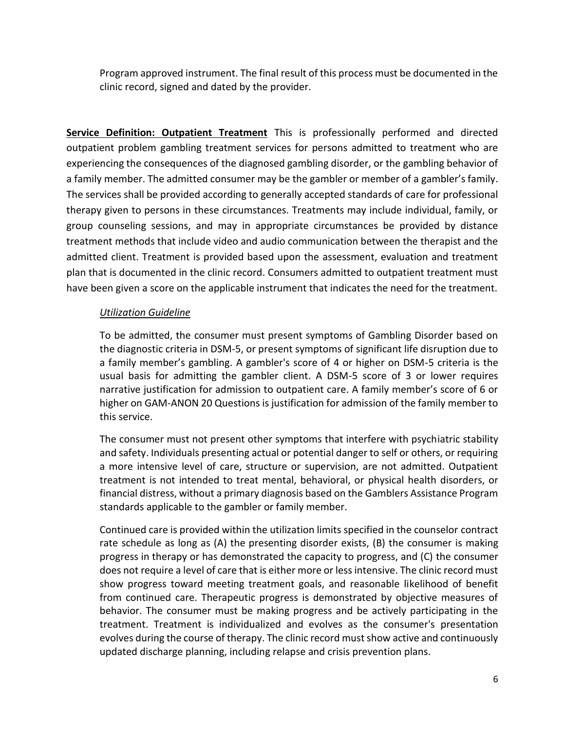Program approved instrument. The final result of this process must be documented in the clinic record, signed and dated by the provider.

**Service Definition: Outpatient Treatment** This is professionally performed and directed outpatient problem gambling treatment services for persons admitted to treatment who are experiencing the consequences of the diagnosed gambling disorder, or the gambling behavior of a family member. The admitted consumer may be the gambler or member of a gambler's family. The services shall be provided according to generally accepted standards of care for professional therapy given to persons in these circumstances. Treatments may include individual, family, or group counseling sessions, and may in appropriate circumstances be provided by distance treatment methods that include video and audio communication between the therapist and the admitted client. Treatment is provided based upon the assessment, evaluation and treatment plan that is documented in the clinic record. Consumers admitted to outpatient treatment must have been given a score on the applicable instrument that indicates the need for the treatment.

## *Utilization Guideline*

To be admitted, the consumer must present symptoms of Gambling Disorder based on the diagnostic criteria in DSM-5, or present symptoms of significant life disruption due to a family member's gambling. A gambler's score of 4 or higher on DSM-5 criteria is the usual basis for admitting the gambler client. A DSM-5 score of 3 or lower requires narrative justification for admission to outpatient care. A family member's score of 6 or higher on GAM-ANON 20 Questions is justification for admission of the family member to this service.

The consumer must not present other symptoms that interfere with psychiatric stability and safety. Individuals presenting actual or potential danger to self or others, or requiring a more intensive level of care, structure or supervision, are not admitted. Outpatient treatment is not intended to treat mental, behavioral, or physical health disorders, or financial distress, without a primary diagnosis based on the Gamblers Assistance Program standards applicable to the gambler or family member.

Continued care is provided within the utilization limits specified in the counselor contract rate schedule as long as (A) the presenting disorder exists, (B) the consumer is making progress in therapy or has demonstrated the capacity to progress, and (C) the consumer does not require a level of care that is either more or less intensive. The clinic record must show progress toward meeting treatment goals, and reasonable likelihood of benefit from continued care. Therapeutic progress is demonstrated by objective measures of behavior. The consumer must be making progress and be actively participating in the treatment. Treatment is individualized and evolves as the consumer's presentation evolves during the course of therapy. The clinic record must show active and continuously updated discharge planning, including relapse and crisis prevention plans.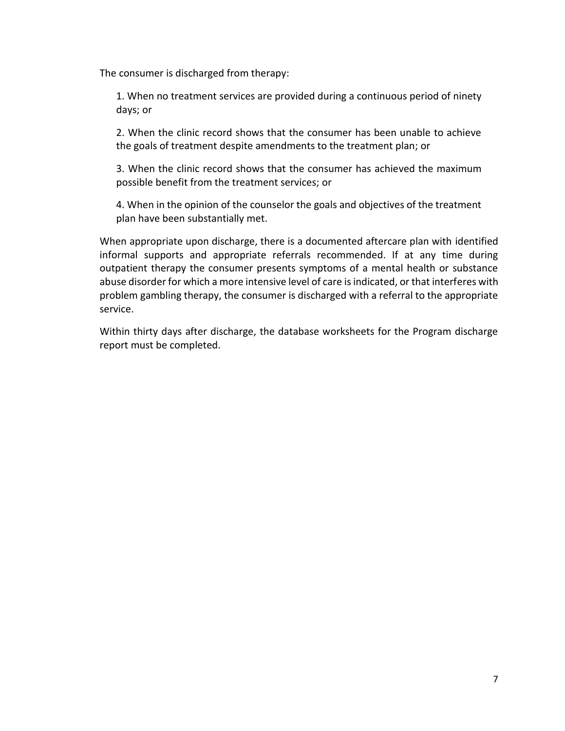The consumer is discharged from therapy:

1. When no treatment services are provided during a continuous period of ninety days; or

2. When the clinic record shows that the consumer has been unable to achieve the goals of treatment despite amendments to the treatment plan; or

3. When the clinic record shows that the consumer has achieved the maximum possible benefit from the treatment services; or

4. When in the opinion of the counselor the goals and objectives of the treatment plan have been substantially met.

When appropriate upon discharge, there is a documented aftercare plan with identified informal supports and appropriate referrals recommended. If at any time during outpatient therapy the consumer presents symptoms of a mental health or substance abuse disorder for which a more intensive level of care is indicated, or that interferes with problem gambling therapy, the consumer is discharged with a referral to the appropriate service.

Within thirty days after discharge, the database worksheets for the Program discharge report must be completed.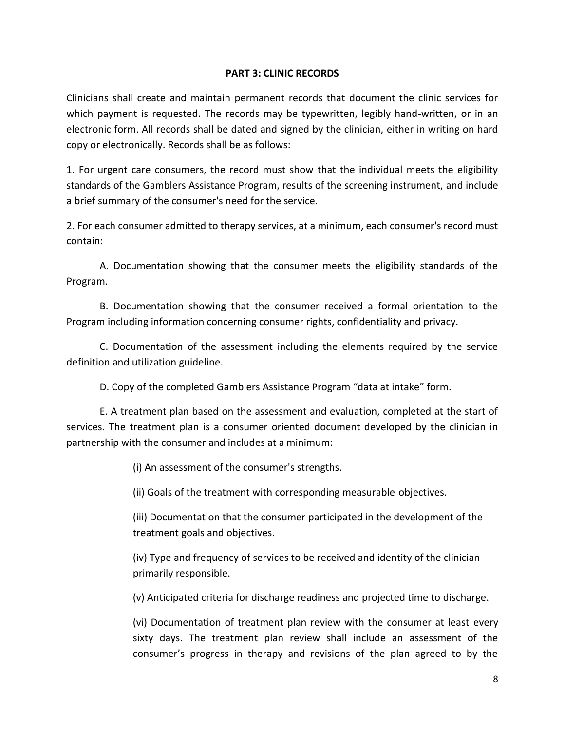#### **PART 3: CLINIC RECORDS**

Clinicians shall create and maintain permanent records that document the clinic services for which payment is requested. The records may be typewritten, legibly hand-written, or in an electronic form. All records shall be dated and signed by the clinician, either in writing on hard copy or electronically. Records shall be as follows:

1. For urgent care consumers, the record must show that the individual meets the eligibility standards of the Gamblers Assistance Program, results of the screening instrument, and include a brief summary of the consumer's need for the service.

2. For each consumer admitted to therapy services, at a minimum, each consumer's record must contain:

A. Documentation showing that the consumer meets the eligibility standards of the Program.

B. Documentation showing that the consumer received a formal orientation to the Program including information concerning consumer rights, confidentiality and privacy.

C. Documentation of the assessment including the elements required by the service definition and utilization guideline.

D. Copy of the completed Gamblers Assistance Program "data at intake" form.

E. A treatment plan based on the assessment and evaluation, completed at the start of services. The treatment plan is a consumer oriented document developed by the clinician in partnership with the consumer and includes at a minimum:

(i) An assessment of the consumer's strengths.

(ii) Goals of the treatment with corresponding measurable objectives.

(iii) Documentation that the consumer participated in the development of the treatment goals and objectives.

(iv) Type and frequency of services to be received and identity of the clinician primarily responsible.

(v) Anticipated criteria for discharge readiness and projected time to discharge.

(vi) Documentation of treatment plan review with the consumer at least every sixty days. The treatment plan review shall include an assessment of the consumer's progress in therapy and revisions of the plan agreed to by the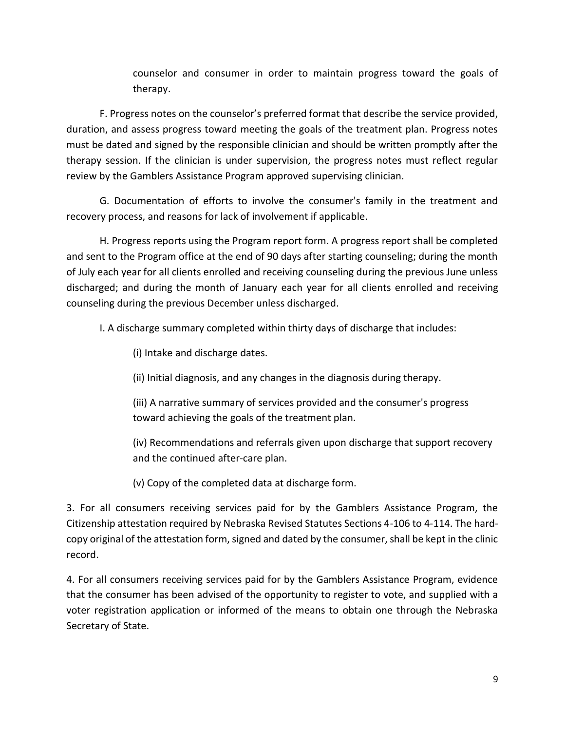counselor and consumer in order to maintain progress toward the goals of therapy.

F. Progress notes on the counselor's preferred format that describe the service provided, duration, and assess progress toward meeting the goals of the treatment plan. Progress notes must be dated and signed by the responsible clinician and should be written promptly after the therapy session. If the clinician is under supervision, the progress notes must reflect regular review by the Gamblers Assistance Program approved supervising clinician.

G. Documentation of efforts to involve the consumer's family in the treatment and recovery process, and reasons for lack of involvement if applicable.

H. Progress reports using the Program report form. A progress report shall be completed and sent to the Program office at the end of 90 days after starting counseling; during the month of July each year for all clients enrolled and receiving counseling during the previous June unless discharged; and during the month of January each year for all clients enrolled and receiving counseling during the previous December unless discharged.

I. A discharge summary completed within thirty days of discharge that includes:

(i) Intake and discharge dates.

(ii) Initial diagnosis, and any changes in the diagnosis during therapy.

(iii) A narrative summary of services provided and the consumer's progress toward achieving the goals of the treatment plan.

(iv) Recommendations and referrals given upon discharge that support recovery and the continued after-care plan.

(v) Copy of the completed data at discharge form.

3. For all consumers receiving services paid for by the Gamblers Assistance Program, the Citizenship attestation required by Nebraska Revised Statutes Sections 4-106 to 4-114. The hardcopy original of the attestation form, signed and dated by the consumer, shall be kept in the clinic record.

4. For all consumers receiving services paid for by the Gamblers Assistance Program, evidence that the consumer has been advised of the opportunity to register to vote, and supplied with a voter registration application or informed of the means to obtain one through the Nebraska Secretary of State.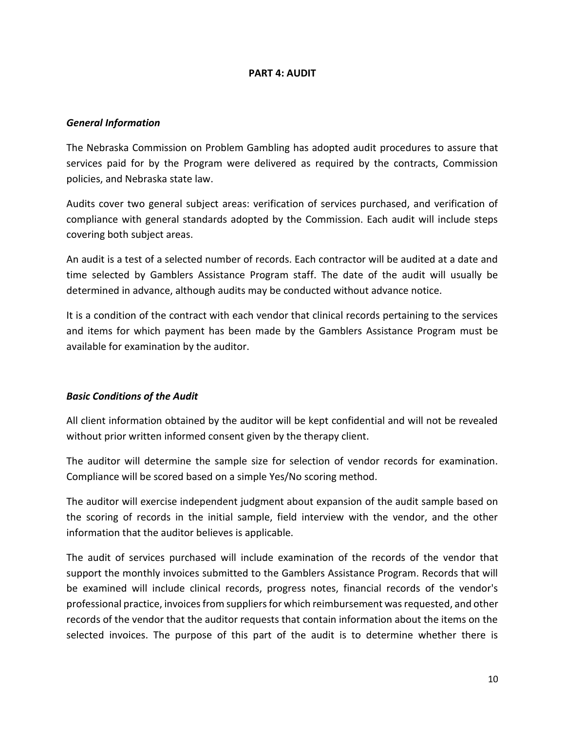#### **PART 4: AUDIT**

#### *General Information*

The Nebraska Commission on Problem Gambling has adopted audit procedures to assure that services paid for by the Program were delivered as required by the contracts, Commission policies, and Nebraska state law.

Audits cover two general subject areas: verification of services purchased, and verification of compliance with general standards adopted by the Commission. Each audit will include steps covering both subject areas.

An audit is a test of a selected number of records. Each contractor will be audited at a date and time selected by Gamblers Assistance Program staff. The date of the audit will usually be determined in advance, although audits may be conducted without advance notice.

It is a condition of the contract with each vendor that clinical records pertaining to the services and items for which payment has been made by the Gamblers Assistance Program must be available for examination by the auditor.

#### *Basic Conditions of the Audit*

All client information obtained by the auditor will be kept confidential and will not be revealed without prior written informed consent given by the therapy client.

The auditor will determine the sample size for selection of vendor records for examination. Compliance will be scored based on a simple Yes/No scoring method.

The auditor will exercise independent judgment about expansion of the audit sample based on the scoring of records in the initial sample, field interview with the vendor, and the other information that the auditor believes is applicable.

The audit of services purchased will include examination of the records of the vendor that support the monthly invoices submitted to the Gamblers Assistance Program. Records that will be examined will include clinical records, progress notes, financial records of the vendor's professional practice, invoices from suppliers for which reimbursement was requested, and other records of the vendor that the auditor requests that contain information about the items on the selected invoices. The purpose of this part of the audit is to determine whether there is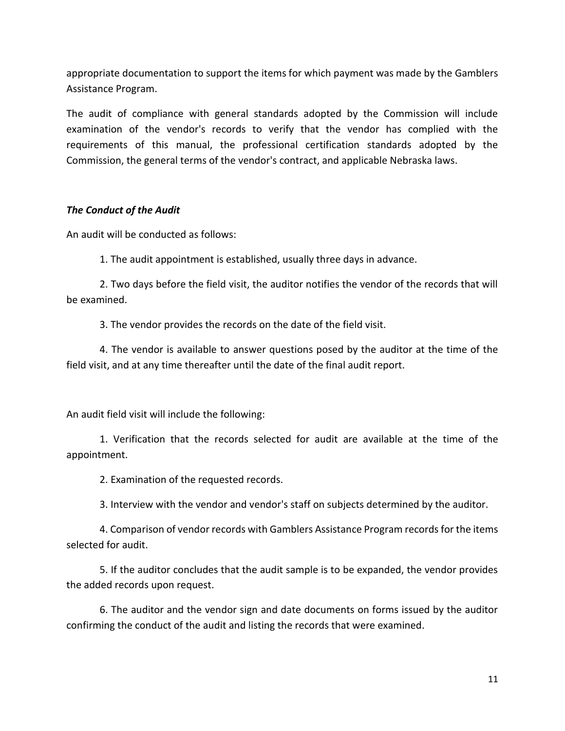appropriate documentation to support the items for which payment was made by the Gamblers Assistance Program.

The audit of compliance with general standards adopted by the Commission will include examination of the vendor's records to verify that the vendor has complied with the requirements of this manual, the professional certification standards adopted by the Commission, the general terms of the vendor's contract, and applicable Nebraska laws.

## *The Conduct of the Audit*

An audit will be conducted as follows:

1. The audit appointment is established, usually three days in advance.

2. Two days before the field visit, the auditor notifies the vendor of the records that will be examined.

3. The vendor provides the records on the date of the field visit.

4. The vendor is available to answer questions posed by the auditor at the time of the field visit, and at any time thereafter until the date of the final audit report.

An audit field visit will include the following:

1. Verification that the records selected for audit are available at the time of the appointment.

2. Examination of the requested records.

3. Interview with the vendor and vendor's staff on subjects determined by the auditor.

4. Comparison of vendor records with Gamblers Assistance Program records for the items selected for audit.

5. If the auditor concludes that the audit sample is to be expanded, the vendor provides the added records upon request.

6. The auditor and the vendor sign and date documents on forms issued by the auditor confirming the conduct of the audit and listing the records that were examined.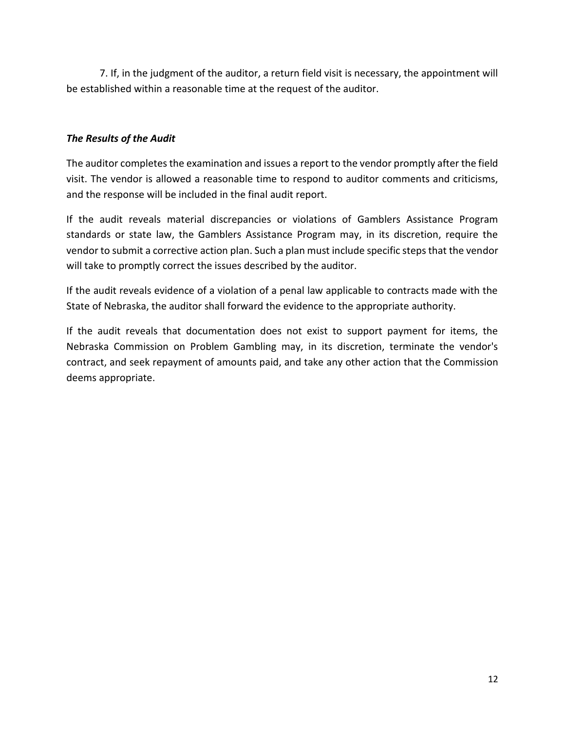7. If, in the judgment of the auditor, a return field visit is necessary, the appointment will be established within a reasonable time at the request of the auditor.

## *The Results of the Audit*

The auditor completes the examination and issues a report to the vendor promptly after the field visit. The vendor is allowed a reasonable time to respond to auditor comments and criticisms, and the response will be included in the final audit report.

If the audit reveals material discrepancies or violations of Gamblers Assistance Program standards or state law, the Gamblers Assistance Program may, in its discretion, require the vendor to submit a corrective action plan. Such a plan must include specific steps that the vendor will take to promptly correct the issues described by the auditor.

If the audit reveals evidence of a violation of a penal law applicable to contracts made with the State of Nebraska, the auditor shall forward the evidence to the appropriate authority.

If the audit reveals that documentation does not exist to support payment for items, the Nebraska Commission on Problem Gambling may, in its discretion, terminate the vendor's contract, and seek repayment of amounts paid, and take any other action that the Commission deems appropriate.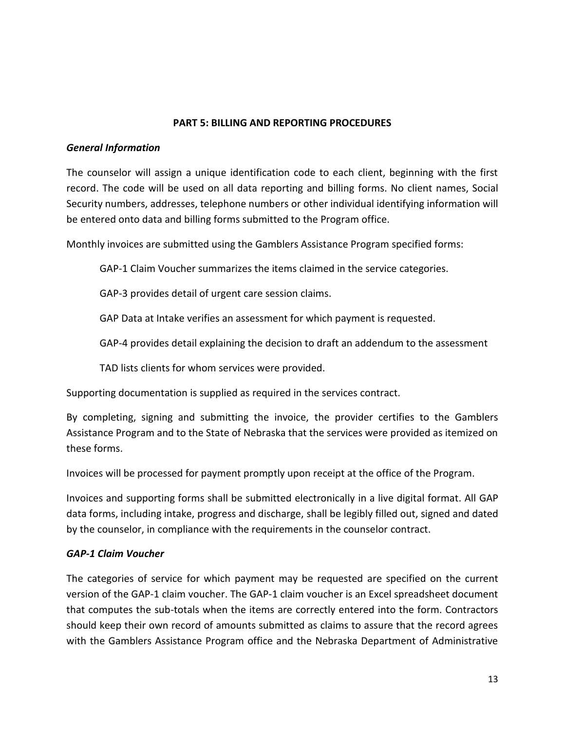#### **PART 5: BILLING AND REPORTING PROCEDURES**

## *General Information*

The counselor will assign a unique identification code to each client, beginning with the first record. The code will be used on all data reporting and billing forms. No client names, Social Security numbers, addresses, telephone numbers or other individual identifying information will be entered onto data and billing forms submitted to the Program office.

Monthly invoices are submitted using the Gamblers Assistance Program specified forms:

GAP-1 Claim Voucher summarizes the items claimed in the service categories.

GAP-3 provides detail of urgent care session claims.

GAP Data at Intake verifies an assessment for which payment is requested.

GAP-4 provides detail explaining the decision to draft an addendum to the assessment

TAD lists clients for whom services were provided.

Supporting documentation is supplied as required in the services contract.

By completing, signing and submitting the invoice, the provider certifies to the Gamblers Assistance Program and to the State of Nebraska that the services were provided as itemized on these forms.

Invoices will be processed for payment promptly upon receipt at the office of the Program.

Invoices and supporting forms shall be submitted electronically in a live digital format. All GAP data forms, including intake, progress and discharge, shall be legibly filled out, signed and dated by the counselor, in compliance with the requirements in the counselor contract.

## *GAP-1 Claim Voucher*

The categories of service for which payment may be requested are specified on the current version of the GAP-1 claim voucher. The GAP-1 claim voucher is an Excel spreadsheet document that computes the sub-totals when the items are correctly entered into the form. Contractors should keep their own record of amounts submitted as claims to assure that the record agrees with the Gamblers Assistance Program office and the Nebraska Department of Administrative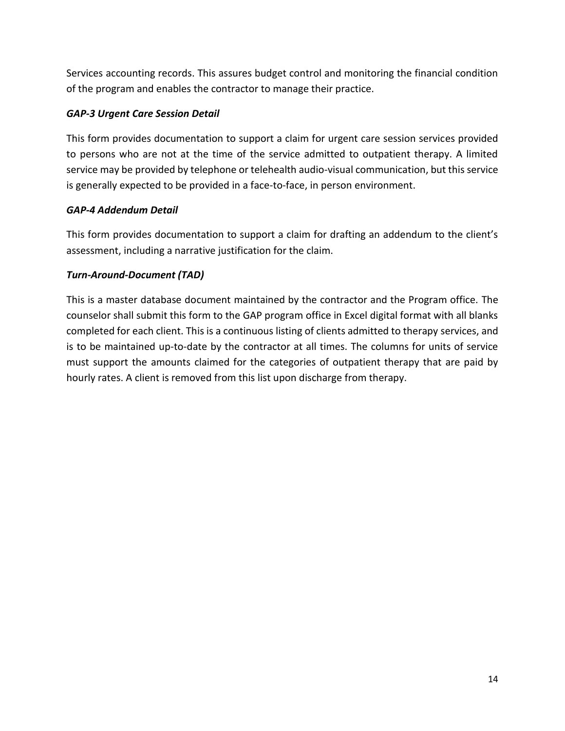Services accounting records. This assures budget control and monitoring the financial condition of the program and enables the contractor to manage their practice.

# *GAP-3 Urgent Care Session Detail*

This form provides documentation to support a claim for urgent care session services provided to persons who are not at the time of the service admitted to outpatient therapy. A limited service may be provided by telephone or telehealth audio-visual communication, but this service is generally expected to be provided in a face-to-face, in person environment.

# *GAP-4 Addendum Detail*

This form provides documentation to support a claim for drafting an addendum to the client's assessment, including a narrative justification for the claim.

# *Turn-Around-Document (TAD)*

This is a master database document maintained by the contractor and the Program office. The counselor shall submit this form to the GAP program office in Excel digital format with all blanks completed for each client. This is a continuous listing of clients admitted to therapy services, and is to be maintained up-to-date by the contractor at all times. The columns for units of service must support the amounts claimed for the categories of outpatient therapy that are paid by hourly rates. A client is removed from this list upon discharge from therapy.